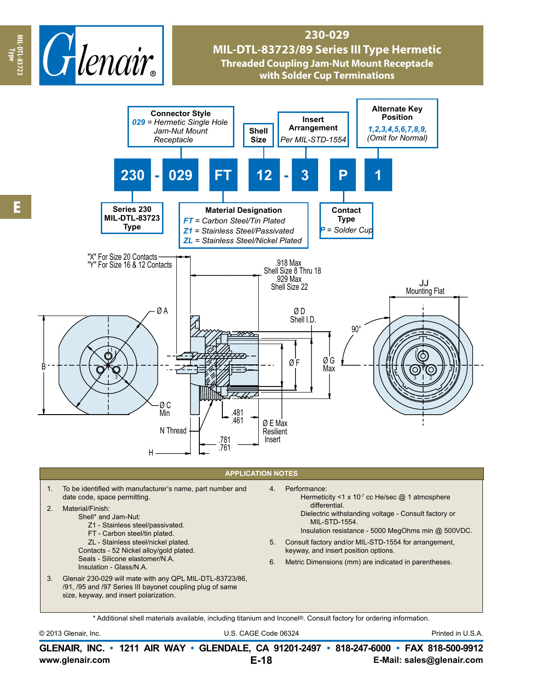

## **230-029 MIL-DTL-83723/89 Series III Type Hermetic Threaded Coupling Jam-Nut Mount Receptacle with Solder Cup Terminations**



\* Additional shell materials available, including titanium and Inconel®. Consult factory for ordering information.

© 2013 Glenair, Inc. U.S. CAGE Code 06324 Printed in U.S.A.

**www.glenair.com E-Mail: sales@glenair.com GLENAIR, INC. • 1211 AIR WAY • GLENDALE, CA 91201-2497 • 818-247-6000 • FAX 818-500-9912 E-18**

**Type**